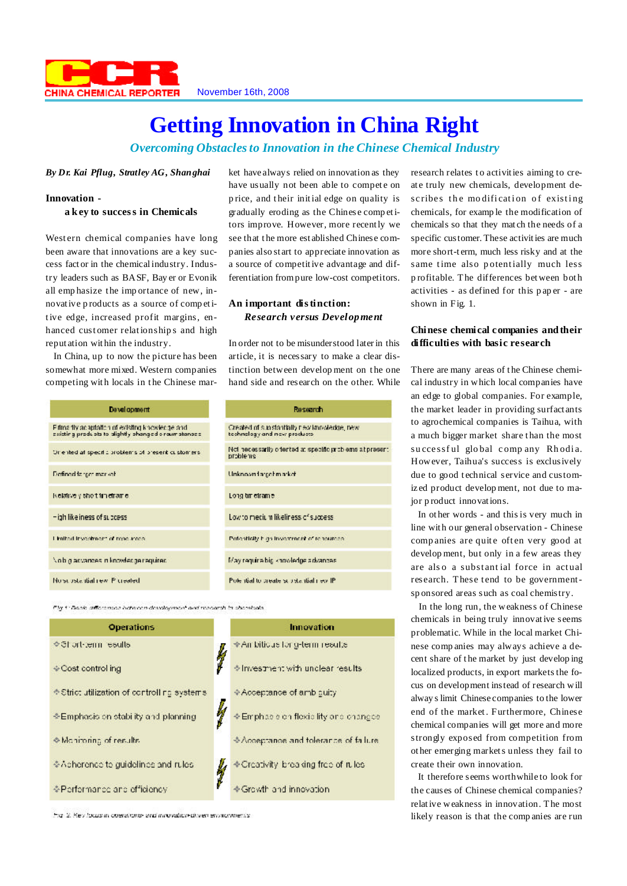

# **Getting Innovation in China Right**

*Overcoming Obstaclesto Innovation in the Chinese Chemical Industry*

*By Dr. Kai Pflug, Stratley AG, Shanghai*

## **Innovation -**

**a key to success in Chemicals**

Western chemical companies have long been aware that innovations are a key success fact or in the chemicalindustry. Industry leaders such as BASF, Bay er or Evonik all emp hasize t he imp ortance of new, innovative p roducts as a source of comp etitive edge, increased profit margins, enhanced cust omer relationship s and high reput ation wit hin the industry.

In China, up to now the picture has been somewhat more mixed. Western companies competing with locals in the Chinese market have always relied on innovation as they have usually not been able to compete on p rice, and t heir initial edge on quality is gradually eroding as the Chinese comp etitors improve. However, more recently we see that t he more est ablished Chinese companies also st art to appreciate innovation as a source of competitive advantage and differentiation frompure low-cost competitors.

# **An important distinction:** *Research versus Development*

In order not to be misunderstood later in this article, it is necessary to make a clear distinction between develop ment on t he one hand side and research on the other. While

| Development                                                                                            | Research                                                                    |
|--------------------------------------------------------------------------------------------------------|-----------------------------------------------------------------------------|
| Filma fly acaptation of existing knowledge and<br>existing produots to clightly phanged o roumstances. | Created of substantially new knowledge, new<br>technology and new products. |
| Or ented at specific problems of present customers.                                                    | Not necessarily oriented at specific problems at prese<br>arrablems         |
| Defined farger market.                                                                                 | Unknowndarpehmarket                                                         |
| kelairve y sho trimeirair e                                                                            | Long on etrame.                                                             |
| - igh like iness of success.                                                                           | Low to medium likeliness of success                                         |
| I inited investment of reacurace.                                                                      | Potentially high investment of reasurees.                                   |
| aniupanen abbedung ni zasneve o do./                                                                   | May require big knowledge advances.                                         |
| No substantial rew Pluealed                                                                            | Pule itial to preate substantial revil?                                     |
|                                                                                                        |                                                                             |

Fire 1: Book, differences between development and research in chemicals

| <b>Operations</b>                           |   | Innovation                           |
|---------------------------------------------|---|--------------------------------------|
| <b>⊙Short-term results</b>                  | ķ | ◆ Ambitique for g-term results       |
| ♦ Cost control ing                          |   | # Investment with unclear results    |
| ⊕ Strict utilization of controlling systems |   | ♦ Acceptance of amb puity            |
| ⊕Emphasis on stability and planning         |   | Emphasis on floxis lity one enanges  |
| · Monitoring of results                     |   | Acceptance and tolerance of failure. |
| ⊙Apherence to quidelines and rules          |   | Encativity, breaking free of rules   |
| ∻Performance and efficiency                 |   | ♦ Growth and innovation              |

Fig. 2. Key focus in operations, and innovation-diven environments.

research relates to activities aiming to create truly new chemicals, development describes the modification of existing chemicals, for examp le the modification of chemicals so that they mat ch the needs of a specific customer. These activities are much more short-t erm, much less risky and at the same time also potentially much less p rofitable. The differences between bot h activities - as defined for this p ap er - are shown in Fig. 1.

# **Chinese chemical companies andtheir difficulties with basic research**

There are many areas of the Chinese chemical industry in which local companies have an edge to global companies. For example, the market leader in providing surfact ants to agrochemical companies is Taihua, with a much bigger market share than the most su cce ssful global comp any Rhodia. However, Taihua's success is exclusively due to good technical service and customiz ed product develop ment, not due to major p roduct innovations.

In ot her words - and thisis very much in line wit h our general observation - Chinese companies are quite often very good at develop ment, but only in a few areas they are also a substantial force in actual research. These tend to be governmentsp onsored areas such as coal chemistry.

In the long run, the weakness of Chinese chemicals in being truly innovative seems problematic. While in the local market Chinese comp anies may always achieve a decent share of t he market by just develop ing localized products, in export markets the focus on development instead of research will alway slimit Chinese companies to the lower end of the market. Furthermore, Chinese chemical companies will get more and more strongly exposed from competition from ot her emerging markets unless they fail to create their own innovation.

It therefore seems worthwhile to look for the causes of Chinese chemical companies? relative weakness in innovation. The most likely reason is that the comp anies are run